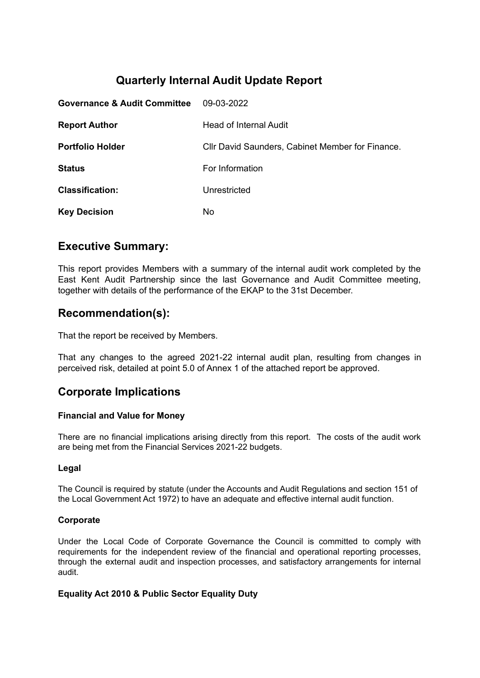# **Quarterly Internal Audit Update Report**

| <b>Governance &amp; Audit Committee</b> | 09-03-2022                                       |
|-----------------------------------------|--------------------------------------------------|
| <b>Report Author</b>                    | Head of Internal Audit                           |
| <b>Portfolio Holder</b>                 | CIIr David Saunders, Cabinet Member for Finance. |
| <b>Status</b>                           | For Information                                  |
| <b>Classification:</b>                  | Unrestricted                                     |
| <b>Key Decision</b>                     | No.                                              |

### **Executive Summary:**

This report provides Members with a summary of the internal audit work completed by the East Kent Audit Partnership since the last Governance and Audit Committee meeting, together with details of the performance of the EKAP to the 31st December.

# **Recommendation(s):**

That the report be received by Members.

That any changes to the agreed 2021-22 internal audit plan, resulting from changes in perceived risk, detailed at point 5.0 of Annex 1 of the attached report be approved.

# **Corporate Implications**

### **Financial and Value for Money**

There are no financial implications arising directly from this report. The costs of the audit work are being met from the Financial Services 2021-22 budgets.

### **Legal**

The Council is required by statute (under the Accounts and Audit Regulations and section 151 of the Local Government Act 1972) to have an adequate and effective internal audit function.

#### **Corporate**

Under the Local Code of Corporate Governance the Council is committed to comply with requirements for the independent review of the financial and operational reporting processes, through the external audit and inspection processes, and satisfactory arrangements for internal audit.

#### **Equality Act 2010 & Public Sector Equality Duty**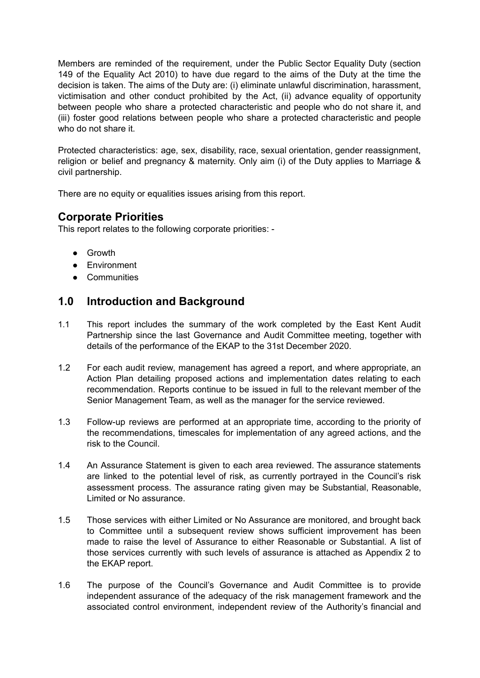Members are reminded of the requirement, under the Public Sector Equality Duty (section 149 of the Equality Act 2010) to have due regard to the aims of the Duty at the time the decision is taken. The aims of the Duty are: (i) eliminate unlawful discrimination, harassment, victimisation and other conduct prohibited by the Act, (ii) advance equality of opportunity between people who share a protected characteristic and people who do not share it, and (iii) foster good relations between people who share a protected characteristic and people who do not share it.

Protected characteristics: age, sex, disability, race, sexual orientation, gender reassignment, religion or belief and pregnancy & maternity. Only aim (i) of the Duty applies to Marriage & civil partnership.

There are no equity or equalities issues arising from this report.

# **Corporate Priorities**

This report relates to the following corporate priorities: -

- Growth
- Environment
- Communities

# **1.0 Introduction and Background**

- 1.1 This report includes the summary of the work completed by the East Kent Audit Partnership since the last Governance and Audit Committee meeting, together with details of the performance of the EKAP to the 31st December 2020.
- 1.2 For each audit review, management has agreed a report, and where appropriate, an Action Plan detailing proposed actions and implementation dates relating to each recommendation. Reports continue to be issued in full to the relevant member of the Senior Management Team, as well as the manager for the service reviewed.
- 1.3 Follow-up reviews are performed at an appropriate time, according to the priority of the recommendations, timescales for implementation of any agreed actions, and the risk to the Council.
- 1.4 An Assurance Statement is given to each area reviewed. The assurance statements are linked to the potential level of risk, as currently portrayed in the Council's risk assessment process. The assurance rating given may be Substantial, Reasonable, Limited or No assurance.
- 1.5 Those services with either Limited or No Assurance are monitored, and brought back to Committee until a subsequent review shows sufficient improvement has been made to raise the level of Assurance to either Reasonable or Substantial. A list of those services currently with such levels of assurance is attached as Appendix 2 to the EKAP report.
- 1.6 The purpose of the Council's Governance and Audit Committee is to provide independent assurance of the adequacy of the risk management framework and the associated control environment, independent review of the Authority's financial and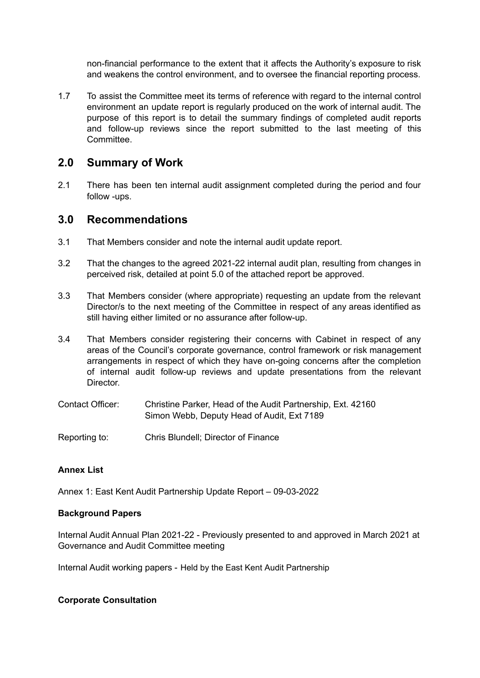non-financial performance to the extent that it affects the Authority's exposure to risk and weakens the control environment, and to oversee the financial reporting process.

1.7 To assist the Committee meet its terms of reference with regard to the internal control environment an update report is regularly produced on the work of internal audit. The purpose of this report is to detail the summary findings of completed audit reports and follow-up reviews since the report submitted to the last meeting of this **Committee.** 

### **2.0 Summary of Work**

2.1 There has been ten internal audit assignment completed during the period and four follow -ups.

### **3.0 Recommendations**

- 3.1 That Members consider and note the internal audit update report.
- 3.2 That the changes to the agreed 2021-22 internal audit plan, resulting from changes in perceived risk, detailed at point 5.0 of the attached report be approved.
- 3.3 That Members consider (where appropriate) requesting an update from the relevant Director/s to the next meeting of the Committee in respect of any areas identified as still having either limited or no assurance after follow-up.
- 3.4 That Members consider registering their concerns with Cabinet in respect of any areas of the Council's corporate governance, control framework or risk management arrangements in respect of which they have on-going concerns after the completion of internal audit follow-up reviews and update presentations from the relevant Director.
- Contact Officer: Christine Parker, Head of the Audit Partnership, Ext. 42160 Simon Webb, Deputy Head of Audit, Ext 7189
- Reporting to: Chris Blundell; Director of Finance

#### **Annex List**

Annex 1: East Kent Audit Partnership Update Report – 09-03-2022

#### **Background Papers**

Internal Audit Annual Plan 2021-22 - Previously presented to and approved in March 2021 at Governance and Audit Committee meeting

Internal Audit working papers - Held by the East Kent Audit Partnership

#### **Corporate Consultation**